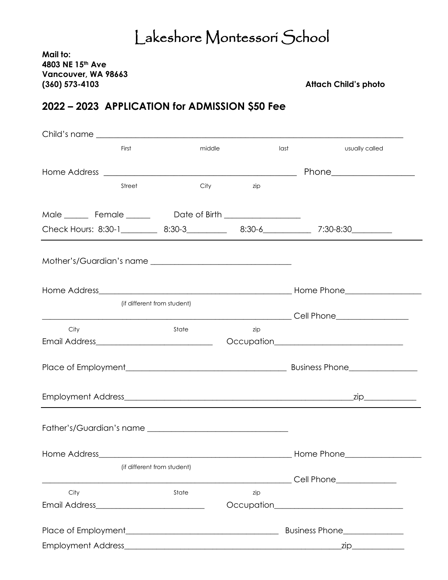## Lakeshore Montessori School

**Mail to: 4803 NE 15th Ave Vancouver, WA 98663 (360) 573-4103 Attach Child's photo** 

## **2022 – 2023 APPLICATION for ADMISSION \$50 Fee**

|                                                                                                    | First                       | middle                   |                                | last       | usually called                                                                                               |  |  |
|----------------------------------------------------------------------------------------------------|-----------------------------|--------------------------|--------------------------------|------------|--------------------------------------------------------------------------------------------------------------|--|--|
|                                                                                                    |                             |                          |                                |            |                                                                                                              |  |  |
|                                                                                                    | Street                      | City                     | zip                            |            |                                                                                                              |  |  |
|                                                                                                    |                             |                          |                                |            |                                                                                                              |  |  |
| Check Hours: 8:30-1___________ 8:30-3______________ 8:30-6_______________ 7:30-8:30_______________ |                             |                          |                                |            |                                                                                                              |  |  |
|                                                                                                    |                             |                          |                                |            |                                                                                                              |  |  |
|                                                                                                    |                             |                          |                                |            |                                                                                                              |  |  |
|                                                                                                    | (if different from student) |                          |                                |            |                                                                                                              |  |  |
|                                                                                                    |                             |                          |                                |            | __________________________________Cell Phone_____________________                                            |  |  |
| City                                                                                               |                             | State                    | zip                            |            | Occupation <b>COLLECT DECISION</b>                                                                           |  |  |
|                                                                                                    |                             |                          |                                |            |                                                                                                              |  |  |
|                                                                                                    |                             |                          |                                |            | _zip_____________                                                                                            |  |  |
|                                                                                                    |                             | Father's/Guardian's name |                                |            |                                                                                                              |  |  |
| Home Address                                                                                       |                             |                          |                                | Home Phone |                                                                                                              |  |  |
|                                                                                                    | (if different from student) |                          |                                |            |                                                                                                              |  |  |
| City                                                                                               |                             | State                    | zip                            |            | Cell Phone_____________<br>Occupation <b>COLLECT DECISION</b> COLLECT <b>COLLECT</b> DECISION <b>COLLECT</b> |  |  |
|                                                                                                    |                             |                          |                                |            |                                                                                                              |  |  |
|                                                                                                    |                             |                          | Business Phone________________ |            |                                                                                                              |  |  |
|                                                                                                    |                             |                          |                                |            |                                                                                                              |  |  |